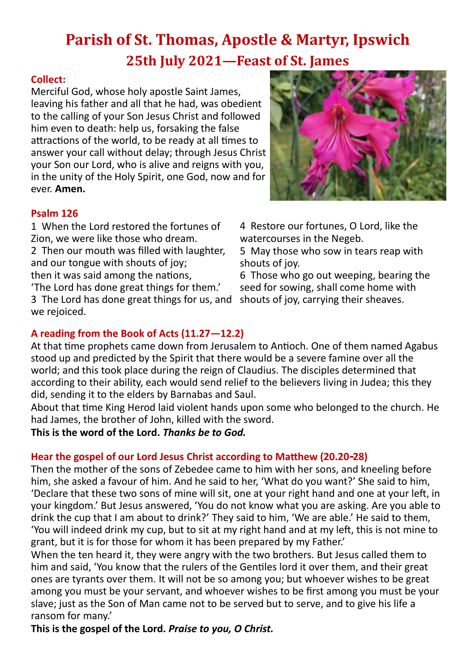# **Parish of St. Thomas, Apostle & Martyr, Ipswich 25th July 2021—Feast of St. James**

### **Collect:**

Merciful God, whose holy apostle Saint James, leaving his father and all that he had, was obedient to the calling of your Son Jesus Christ and followed him even to death: help us, forsaking the false attractions of the world, to be ready at all times to answer your call without delay; through Jesus Christ your Son our Lord, who is alive and reigns with you, in the unity of the Holy Spirit, one God, now and for ever. **Amen.**

### **Psalm 126**

1 When the Lord restored the fortunes of Zion, we were like those who dream.

2 Then our mouth was filled with laughter, and our tongue with shouts of joy;

then it was said among the nations,

'The Lord has done great things for them.'

3 The Lord has done great things for us, and we rejoiced.



4 Restore our fortunes, O Lord, like the watercourses in the Negeb.

5 May those who sow in tears reap with shouts of joy.

6 Those who go out weeping, bearing the seed for sowing, shall come home with shouts of joy, carrying their sheaves.

# **A reading from the Book of Acts (11.27—12.2)**

At that time prophets came down from Jerusalem to Antioch. One of them named Agabus stood up and predicted by the Spirit that there would be a severe famine over all the world; and this took place during the reign of Claudius. The disciples determined that according to their ability, each would send relief to the believers living in Judea; this they did, sending it to the elders by Barnabas and Saul.

About that time King Herod laid violent hands upon some who belonged to the church. He had James, the brother of John, killed with the sword.

**This is the word of the Lord.** *Thanks be to God.*

## **Hear the gospel of our Lord Jesus Christ according to Matthew (20.20-28)**

Then the mother of the sons of Zebedee came to him with her sons, and kneeling before him, she asked a favour of him. And he said to her, 'What do you want?' She said to him, 'Declare that these two sons of mine will sit, one at your right hand and one at your left, in your kingdom.' But Jesus answered, 'You do not know what you are asking. Are you able to drink the cup that I am about to drink?' They said to him, 'We are able.' He said to them, 'You will indeed drink my cup, but to sit at my right hand and at my left, this is not mine to grant, but it is for those for whom it has been prepared by my Father.'

When the ten heard it, they were angry with the two brothers. But Jesus called them to him and said, 'You know that the rulers of the Gentiles lord it over them, and their great ones are tyrants over them. It will not be so among you; but whoever wishes to be great among you must be your servant, and whoever wishes to be first among you must be your slave; just as the Son of Man came not to be served but to serve, and to give his life a ransom for many.'

**This is the gospel of the Lord.** *Praise to you, O Christ.*